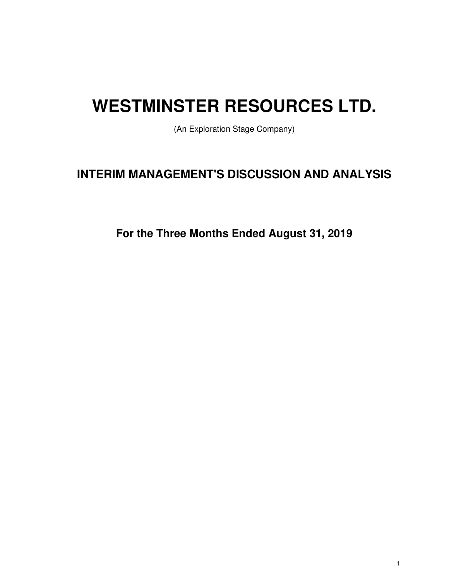# **WESTMINSTER RESOURCES LTD.**

(An Exploration Stage Company)

# **INTERIM MANAGEMENT'S DISCUSSION AND ANALYSIS**

**For the Three Months Ended August 31, 2019**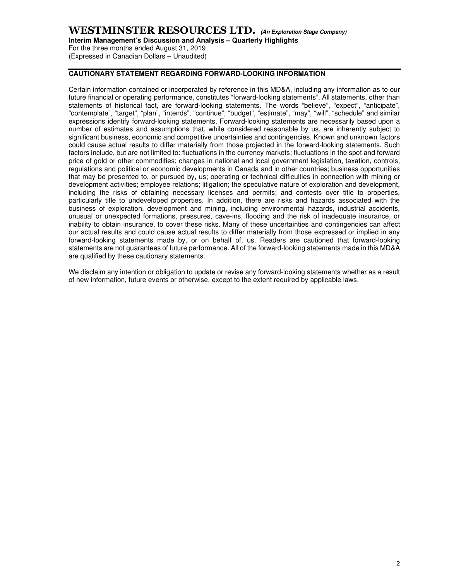# **WESTMINSTER RESOURCES LTD. (An Exploration Stage Company)**

**Interim Management's Discussion and Analysis – Quarterly Highlights** 

For the three months ended August 31, 2019 (Expressed in Canadian Dollars – Unaudited)

# **CAUTIONARY STATEMENT REGARDING FORWARD-LOOKING INFORMATION**

Certain information contained or incorporated by reference in this MD&A, including any information as to our future financial or operating performance, constitutes "forward-looking statements". All statements, other than statements of historical fact, are forward-looking statements. The words "believe", "expect", "anticipate", "contemplate", "target", "plan", "intends", "continue", "budget", "estimate", "may", "will", "schedule" and similar expressions identify forward-looking statements. Forward-looking statements are necessarily based upon a number of estimates and assumptions that, while considered reasonable by us, are inherently subject to significant business, economic and competitive uncertainties and contingencies. Known and unknown factors could cause actual results to differ materially from those projected in the forward-looking statements. Such factors include, but are not limited to: fluctuations in the currency markets; fluctuations in the spot and forward price of gold or other commodities; changes in national and local government legislation, taxation, controls, regulations and political or economic developments in Canada and in other countries; business opportunities that may be presented to, or pursued by, us; operating or technical difficulties in connection with mining or development activities; employee relations; litigation; the speculative nature of exploration and development, including the risks of obtaining necessary licenses and permits; and contests over title to properties, particularly title to undeveloped properties. In addition, there are risks and hazards associated with the business of exploration, development and mining, including environmental hazards, industrial accidents, unusual or unexpected formations, pressures, cave-ins, flooding and the risk of inadequate insurance, or inability to obtain insurance, to cover these risks. Many of these uncertainties and contingencies can affect our actual results and could cause actual results to differ materially from those expressed or implied in any forward-looking statements made by, or on behalf of, us. Readers are cautioned that forward-looking statements are not guarantees of future performance. All of the forward-looking statements made in this MD&A are qualified by these cautionary statements.

We disclaim any intention or obligation to update or revise any forward-looking statements whether as a result of new information, future events or otherwise, except to the extent required by applicable laws.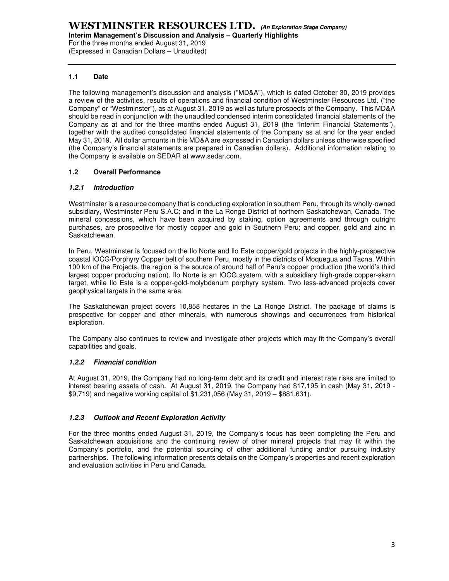For the three months ended August 31, 2019 (Expressed in Canadian Dollars – Unaudited)

# **1.1 Date**

The following management's discussion and analysis ("MD&A"), which is dated October 30, 2019 provides a review of the activities, results of operations and financial condition of Westminster Resources Ltd. ("the Company" or "Westminster"), as at August 31, 2019 as well as future prospects of the Company. This MD&A should be read in conjunction with the unaudited condensed interim consolidated financial statements of the Company as at and for the three months ended August 31, 2019 (the "Interim Financial Statements"), together with the audited consolidated financial statements of the Company as at and for the year ended May 31, 2019. All dollar amounts in this MD&A are expressed in Canadian dollars unless otherwise specified (the Company's financial statements are prepared in Canadian dollars). Additional information relating to the Company is available on SEDAR at www.sedar.com.

# **1.2 Overall Performance**

# **1.2.1 Introduction**

Westminster is a resource company that is conducting exploration in southern Peru, through its wholly-owned subsidiary, Westminster Peru S.A.C; and in the La Ronge District of northern Saskatchewan, Canada. The mineral concessions, which have been acquired by staking, option agreements and through outright purchases, are prospective for mostly copper and gold in Southern Peru; and copper, gold and zinc in Saskatchewan.

In Peru, Westminster is focused on the Ilo Norte and Ilo Este copper/gold projects in the highly-prospective coastal IOCG/Porphyry Copper belt of southern Peru, mostly in the districts of Moquegua and Tacna. Within 100 km of the Projects, the region is the source of around half of Peru's copper production (the world's third largest copper producing nation). Ilo Norte is an IOCG system, with a subsidiary high-grade copper-skarn target, while Ilo Este is a copper-gold-molybdenum porphyry system. Two less-advanced projects cover geophysical targets in the same area.

The Saskatchewan project covers 10,858 hectares in the La Ronge District. The package of claims is prospective for copper and other minerals, with numerous showings and occurrences from historical exploration.

The Company also continues to review and investigate other projects which may fit the Company's overall capabilities and goals.

# **1.2.2 Financial condition**

At August 31, 2019, the Company had no long-term debt and its credit and interest rate risks are limited to interest bearing assets of cash. At August 31, 2019, the Company had \$17,195 in cash (May 31, 2019 - \$9,719) and negative working capital of \$1,231,056 (May 31, 2019 – \$881,631).

# **1.2.3 Outlook and Recent Exploration Activity**

For the three months ended August 31, 2019, the Company's focus has been completing the Peru and Saskatchewan acquisitions and the continuing review of other mineral projects that may fit within the Company's portfolio, and the potential sourcing of other additional funding and/or pursuing industry partnerships. The following information presents details on the Company's properties and recent exploration and evaluation activities in Peru and Canada.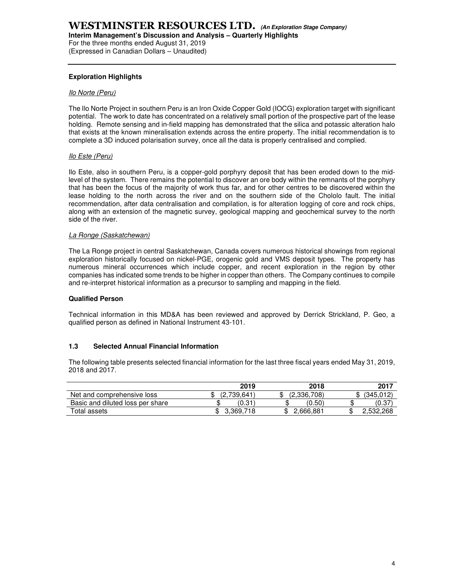**Interim Management's Discussion and Analysis – Quarterly Highlights** 

For the three months ended August 31, 2019 (Expressed in Canadian Dollars – Unaudited)

# **Exploration Highlights**

#### Ilo Norte (Peru)

The Ilo Norte Project in southern Peru is an Iron Oxide Copper Gold (IOCG) exploration target with significant potential. The work to date has concentrated on a relatively small portion of the prospective part of the lease holding. Remote sensing and in-field mapping has demonstrated that the silica and potassic alteration halo that exists at the known mineralisation extends across the entire property. The initial recommendation is to complete a 3D induced polarisation survey, once all the data is properly centralised and complied.

#### Ilo Este (Peru)

Ilo Este, also in southern Peru, is a copper-gold porphyry deposit that has been eroded down to the midlevel of the system. There remains the potential to discover an ore body within the remnants of the porphyry that has been the focus of the majority of work thus far, and for other centres to be discovered within the lease holding to the north across the river and on the southern side of the Chololo fault. The initial recommendation, after data centralisation and compilation, is for alteration logging of core and rock chips, along with an extension of the magnetic survey, geological mapping and geochemical survey to the north side of the river.

#### La Ronge (Saskatchewan)

The La Ronge project in central Saskatchewan, Canada covers numerous historical showings from regional exploration historically focused on nickel-PGE, orogenic gold and VMS deposit types. The property has numerous mineral occurrences which include copper, and recent exploration in the region by other companies has indicated some trends to be higher in copper than others. The Company continues to compile and re-interpret historical information as a precursor to sampling and mapping in the field.

#### **Qualified Person**

Technical information in this MD&A has been reviewed and approved by Derrick Strickland, P. Geo, a qualified person as defined in National Instrument 43-101.

# **1.3 Selected Annual Financial Information**

The following table presents selected financial information for the last three fiscal years ended May 31, 2019, 2018 and 2017.

|                                  | 2019        | 2018         | 2017      |
|----------------------------------|-------------|--------------|-----------|
| Net and comprehensive loss       | (2.739.641) | (2,336,708)  | (345.012) |
| Basic and diluted loss per share | (0.31)<br>J | (0.50)<br>۰D | (0.37     |
| Total assets                     | 3.369.718   | 188,666 ∠    | 2.532.268 |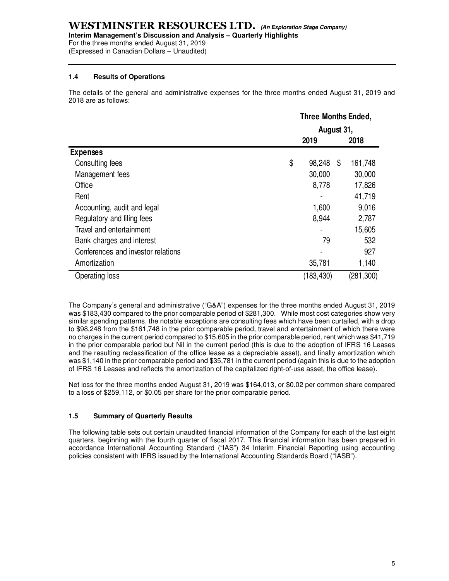**Interim Management's Discussion and Analysis – Quarterly Highlights** 

For the three months ended August 31, 2019 (Expressed in Canadian Dollars – Unaudited)

# **1.4 Results of Operations**

The details of the general and administrative expenses for the three months ended August 31, 2019 and 2018 are as follows:

|                                    | <b>Three Months Ended,</b> |    |            |
|------------------------------------|----------------------------|----|------------|
|                                    | August 31,                 |    |            |
|                                    | 2019                       |    | 2018       |
| <b>Expenses</b>                    |                            |    |            |
| Consulting fees                    | \$<br>98,248               | \$ | 161,748    |
| Management fees                    | 30,000                     |    | 30,000     |
| Office                             | 8,778                      |    | 17,826     |
| Rent                               |                            |    | 41,719     |
| Accounting, audit and legal        | 1,600                      |    | 9,016      |
| Regulatory and filing fees         | 8,944                      |    | 2,787      |
| Travel and entertainment           |                            |    | 15,605     |
| Bank charges and interest          | 79                         |    | 532        |
| Conferences and investor relations |                            |    | 927        |
| Amortization                       | 35,781                     |    | 1,140      |
| Operating loss                     | (183,430)                  |    | (281, 300) |

The Company's general and administrative ("G&A") expenses for the three months ended August 31, 2019 was \$183,430 compared to the prior comparable period of \$281,300. While most cost categories show very similar spending patterns, the notable exceptions are consulting fees which have been curtailed, with a drop to \$98,248 from the \$161,748 in the prior comparable period, travel and entertainment of which there were no charges in the current period compared to \$15,605 in the prior comparable period, rent which was \$41,719 in the prior comparable period but Nil in the current period (this is due to the adoption of IFRS 16 Leases and the resulting reclassification of the office lease as a depreciable asset), and finally amortization which was \$1,140 in the prior comparable period and \$35,781 in the current period (again this is due to the adoption of IFRS 16 Leases and reflects the amortization of the capitalized right-of-use asset, the office lease).

Net loss for the three months ended August 31, 2019 was \$164,013, or \$0.02 per common share compared to a loss of \$259,112, or \$0.05 per share for the prior comparable period.

# **1.5 Summary of Quarterly Results**

The following table sets out certain unaudited financial information of the Company for each of the last eight quarters, beginning with the fourth quarter of fiscal 2017. This financial information has been prepared in accordance International Accounting Standard ("IAS") 34 Interim Financial Reporting using accounting policies consistent with IFRS issued by the International Accounting Standards Board ("IASB").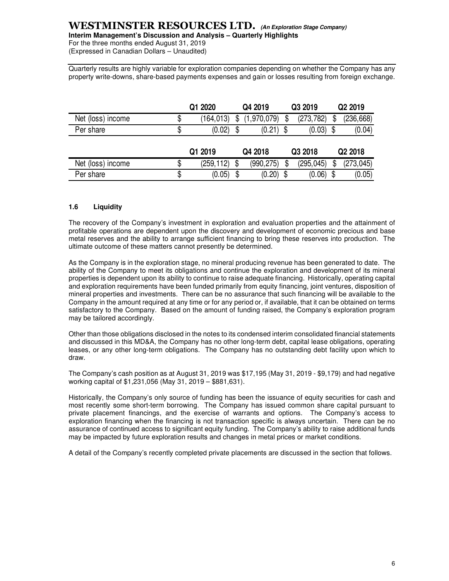# **WESTMINSTER RESOURCES LTD. (An Exploration Stage Company)**

**Interim Management's Discussion and Analysis – Quarterly Highlights**  For the three months ended August 31, 2019

(Expressed in Canadian Dollars – Unaudited)

Quarterly results are highly variable for exploration companies depending on whether the Company has any property write-downs, share-based payments expenses and gain or losses resulting from foreign exchange.

|                   | Q1 2020          | Q4 2019           | Q3 2019    | Q2 2019          |
|-------------------|------------------|-------------------|------------|------------------|
| Net (loss) income | \$<br>(164, 013) | \$<br>(1,970,079) | (273, 782) | \$<br>(236, 668) |
| Per share         | \$<br>(0.02)     | (0.21)            | (0.03)     | (0.04)           |
|                   | Q1 2019          | Q4 2018           | Q3 2018    | Q2 2018          |
|                   |                  |                   |            |                  |
| Net (loss) income | (259, 112)       | \$<br>(990, 275)  | (295, 045) | (273, 045)       |

# **1.6 Liquidity**

The recovery of the Company's investment in exploration and evaluation properties and the attainment of profitable operations are dependent upon the discovery and development of economic precious and base metal reserves and the ability to arrange sufficient financing to bring these reserves into production. The ultimate outcome of these matters cannot presently be determined.

As the Company is in the exploration stage, no mineral producing revenue has been generated to date. The ability of the Company to meet its obligations and continue the exploration and development of its mineral properties is dependent upon its ability to continue to raise adequate financing. Historically, operating capital and exploration requirements have been funded primarily from equity financing, joint ventures, disposition of mineral properties and investments. There can be no assurance that such financing will be available to the Company in the amount required at any time or for any period or, if available, that it can be obtained on terms satisfactory to the Company. Based on the amount of funding raised, the Company's exploration program may be tailored accordingly.

Other than those obligations disclosed in the notes to its condensed interim consolidated financial statements and discussed in this MD&A, the Company has no other long-term debt, capital lease obligations, operating leases, or any other long-term obligations. The Company has no outstanding debt facility upon which to draw.

The Company's cash position as at August 31, 2019 was \$17,195 (May 31, 2019 - \$9,179) and had negative working capital of \$1,231,056 (May 31, 2019 – \$881,631).

Historically, the Company's only source of funding has been the issuance of equity securities for cash and most recently some short-term borrowing. The Company has issued common share capital pursuant to private placement financings, and the exercise of warrants and options. The Company's access to exploration financing when the financing is not transaction specific is always uncertain. There can be no assurance of continued access to significant equity funding. The Company's ability to raise additional funds may be impacted by future exploration results and changes in metal prices or market conditions.

A detail of the Company's recently completed private placements are discussed in the section that follows.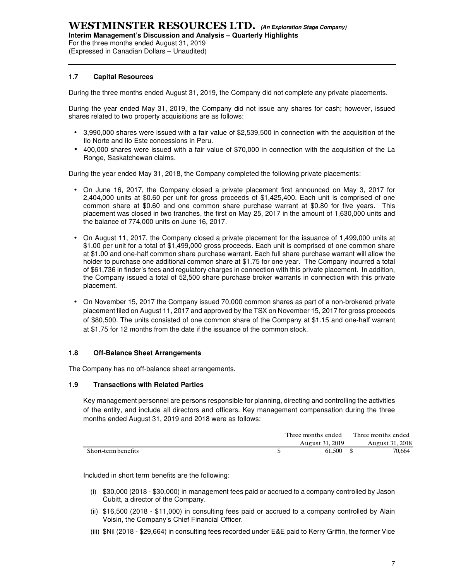For the three months ended August 31, 2019 (Expressed in Canadian Dollars – Unaudited)

# **1.7 Capital Resources**

During the three months ended August 31, 2019, the Company did not complete any private placements.

During the year ended May 31, 2019, the Company did not issue any shares for cash; however, issued shares related to two property acquisitions are as follows:

- 3,990,000 shares were issued with a fair value of \$2,539,500 in connection with the acquisition of the Ilo Norte and Ilo Este concessions in Peru.
- 400,000 shares were issued with a fair value of \$70,000 in connection with the acquisition of the La Ronge, Saskatchewan claims.

During the year ended May 31, 2018, the Company completed the following private placements:

- On June 16, 2017, the Company closed a private placement first announced on May 3, 2017 for 2,404,000 units at \$0.60 per unit for gross proceeds of \$1,425,400. Each unit is comprised of one common share at \$0.60 and one common share purchase warrant at \$0.80 for five years. This placement was closed in two tranches, the first on May 25, 2017 in the amount of 1,630,000 units and the balance of 774,000 units on June 16, 2017.
- On August 11, 2017, the Company closed a private placement for the issuance of 1,499,000 units at \$1.00 per unit for a total of \$1,499,000 gross proceeds. Each unit is comprised of one common share at \$1.00 and one-half common share purchase warrant. Each full share purchase warrant will allow the holder to purchase one additional common share at \$1.75 for one year. The Company incurred a total of \$61,736 in finder's fees and regulatory charges in connection with this private placement. In addition, the Company issued a total of 52,500 share purchase broker warrants in connection with this private placement.
- On November 15, 2017 the Company issued 70,000 common shares as part of a non-brokered private placement filed on August 11, 2017 and approved by the TSX on November 15, 2017 for gross proceeds of \$80,500. The units consisted of one common share of the Company at \$1.15 and one-half warrant at \$1.75 for 12 months from the date if the issuance of the common stock.

# **1.8 Off-Balance Sheet Arrangements**

The Company has no off-balance sheet arrangements.

# **1.9 Transactions with Related Parties**

Key management personnel are persons responsible for planning, directing and controlling the activities of the entity, and include all directors and officers. Key management compensation during the three months ended August 31, 2019 and 2018 were as follows:

|                     | Three months ended |                 |  | Three months ended |
|---------------------|--------------------|-----------------|--|--------------------|
|                     |                    | August 31, 2019 |  | August 31, 2018    |
| Short-term benefits |                    | 61.500          |  | 70.664             |

Included in short term benefits are the following:

- (i) \$30,000 (2018 \$30,000) in management fees paid or accrued to a company controlled by Jason Cubitt, a director of the Company.
- (ii) \$16,500 (2018 \$11,000) in consulting fees paid or accrued to a company controlled by Alain Voisin, the Company's Chief Financial Officer.
- (iii) \$Nil (2018 \$29,664) in consulting fees recorded under E&E paid to Kerry Griffin, the former Vice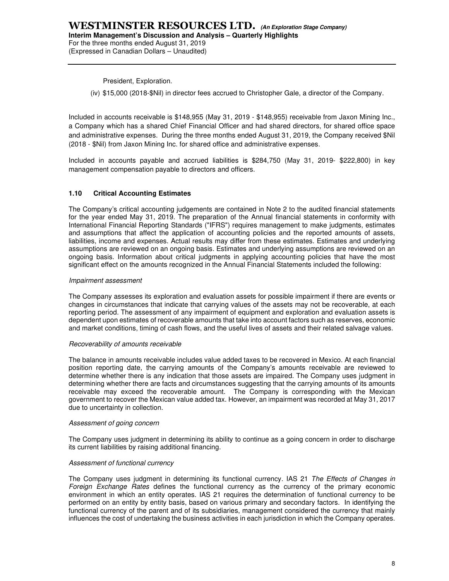President, Exploration.

(iv) \$15,000 (2018-\$Nil) in director fees accrued to Christopher Gale, a director of the Company.

Included in accounts receivable is \$148,955 (May 31, 2019 - \$148,955) receivable from Jaxon Mining Inc., a Company which has a shared Chief Financial Officer and had shared directors, for shared office space and administrative expenses. During the three months ended August 31, 2019, the Company received \$Nil (2018 - \$Nil) from Jaxon Mining Inc. for shared office and administrative expenses.

Included in accounts payable and accrued liabilities is \$284,750 (May 31, 2019- \$222,800) in key management compensation payable to directors and officers.

#### **1.10 Critical Accounting Estimates**

The Company's critical accounting judgements are contained in Note 2 to the audited financial statements for the year ended May 31, 2019. The preparation of the Annual financial statements in conformity with International Financial Reporting Standards ("IFRS") requires management to make judgments, estimates and assumptions that affect the application of accounting policies and the reported amounts of assets, liabilities, income and expenses. Actual results may differ from these estimates. Estimates and underlying assumptions are reviewed on an ongoing basis. Estimates and underlying assumptions are reviewed on an ongoing basis. Information about critical judgments in applying accounting policies that have the most significant effect on the amounts recognized in the Annual Financial Statements included the following:

#### Impairment assessment

The Company assesses its exploration and evaluation assets for possible impairment if there are events or changes in circumstances that indicate that carrying values of the assets may not be recoverable, at each reporting period. The assessment of any impairment of equipment and exploration and evaluation assets is dependent upon estimates of recoverable amounts that take into account factors such as reserves, economic and market conditions, timing of cash flows, and the useful lives of assets and their related salvage values.

#### Recoverability of amounts receivable

The balance in amounts receivable includes value added taxes to be recovered in Mexico. At each financial position reporting date, the carrying amounts of the Company's amounts receivable are reviewed to determine whether there is any indication that those assets are impaired. The Company uses judgment in determining whether there are facts and circumstances suggesting that the carrying amounts of its amounts receivable may exceed the recoverable amount. The Company is corresponding with the Mexican government to recover the Mexican value added tax. However, an impairment was recorded at May 31, 2017 due to uncertainty in collection.

#### Assessment of going concern

The Company uses judgment in determining its ability to continue as a going concern in order to discharge its current liabilities by raising additional financing.

#### Assessment of functional currency

The Company uses judgment in determining its functional currency. IAS 21 The Effects of Changes in Foreign Exchange Rates defines the functional currency as the currency of the primary economic environment in which an entity operates. IAS 21 requires the determination of functional currency to be performed on an entity by entity basis, based on various primary and secondary factors. In identifying the functional currency of the parent and of its subsidiaries, management considered the currency that mainly influences the cost of undertaking the business activities in each jurisdiction in which the Company operates.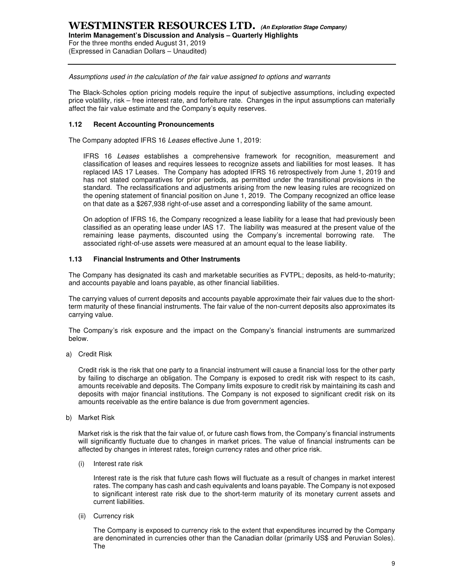# **WESTMINSTER RESOURCES LTD. (An Exploration Stage Company) Interim Management's Discussion and Analysis – Quarterly Highlights**  For the three months ended August 31, 2019

(Expressed in Canadian Dollars – Unaudited)

Assumptions used in the calculation of the fair value assigned to options and warrants

The Black-Scholes option pricing models require the input of subjective assumptions, including expected price volatility, risk – free interest rate, and forfeiture rate. Changes in the input assumptions can materially affect the fair value estimate and the Company's equity reserves.

# **1.12 Recent Accounting Pronouncements**

The Company adopted IFRS 16 Leases effective June 1, 2019:

IFRS 16 Leases establishes a comprehensive framework for recognition, measurement and classification of leases and requires lessees to recognize assets and liabilities for most leases. It has replaced IAS 17 Leases. The Company has adopted IFRS 16 retrospectively from June 1, 2019 and has not stated comparatives for prior periods, as permitted under the transitional provisions in the standard. The reclassifications and adjustments arising from the new leasing rules are recognized on the opening statement of financial position on June 1, 2019. The Company recognized an office lease on that date as a \$267,938 right-of-use asset and a corresponding liability of the same amount.

On adoption of IFRS 16, the Company recognized a lease liability for a lease that had previously been classified as an operating lease under IAS 17. The liability was measured at the present value of the remaining lease payments, discounted using the Company's incremental borrowing rate. The associated right-of-use assets were measured at an amount equal to the lease liability.

# **1.13 Financial Instruments and Other Instruments**

The Company has designated its cash and marketable securities as FVTPL; deposits, as held-to-maturity; and accounts payable and loans payable, as other financial liabilities.

The carrying values of current deposits and accounts payable approximate their fair values due to the shortterm maturity of these financial instruments. The fair value of the non-current deposits also approximates its carrying value.

The Company's risk exposure and the impact on the Company's financial instruments are summarized below.

a) Credit Risk

Credit risk is the risk that one party to a financial instrument will cause a financial loss for the other party by failing to discharge an obligation. The Company is exposed to credit risk with respect to its cash, amounts receivable and deposits. The Company limits exposure to credit risk by maintaining its cash and deposits with major financial institutions. The Company is not exposed to significant credit risk on its amounts receivable as the entire balance is due from government agencies.

b) Market Risk

Market risk is the risk that the fair value of, or future cash flows from, the Company's financial instruments will significantly fluctuate due to changes in market prices. The value of financial instruments can be affected by changes in interest rates, foreign currency rates and other price risk.

(i) Interest rate risk

Interest rate is the risk that future cash flows will fluctuate as a result of changes in market interest rates. The company has cash and cash equivalents and loans payable. The Company is not exposed to significant interest rate risk due to the short-term maturity of its monetary current assets and current liabilities.

(ii) Currency risk

The Company is exposed to currency risk to the extent that expenditures incurred by the Company are denominated in currencies other than the Canadian dollar (primarily US\$ and Peruvian Soles). The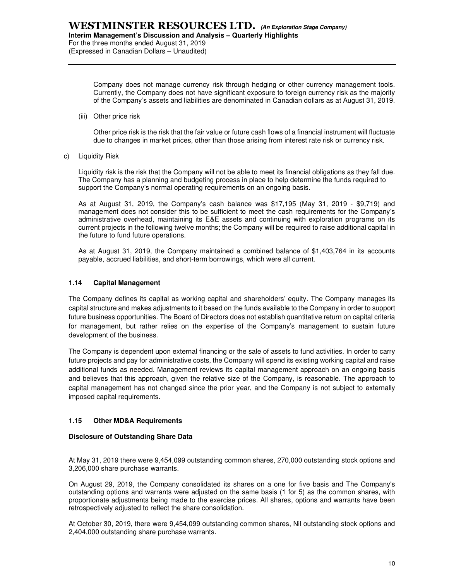For the three months ended August 31, 2019

(Expressed in Canadian Dollars – Unaudited)

Company does not manage currency risk through hedging or other currency management tools. Currently, the Company does not have significant exposure to foreign currency risk as the majority of the Company's assets and liabilities are denominated in Canadian dollars as at August 31, 2019.

(iii) Other price risk

Other price risk is the risk that the fair value or future cash flows of a financial instrument will fluctuate due to changes in market prices, other than those arising from interest rate risk or currency risk.

c) Liquidity Risk

Liquidity risk is the risk that the Company will not be able to meet its financial obligations as they fall due. The Company has a planning and budgeting process in place to help determine the funds required to support the Company's normal operating requirements on an ongoing basis.

As at August 31, 2019, the Company's cash balance was \$17,195 (May 31, 2019 - \$9,719) and management does not consider this to be sufficient to meet the cash requirements for the Company's administrative overhead, maintaining its E&E assets and continuing with exploration programs on its current projects in the following twelve months; the Company will be required to raise additional capital in the future to fund future operations.

As at August 31, 2019, the Company maintained a combined balance of \$1,403,764 in its accounts payable, accrued liabilities, and short-term borrowings, which were all current.

# **1.14 Capital Management**

The Company defines its capital as working capital and shareholders' equity. The Company manages its capital structure and makes adjustments to it based on the funds available to the Company in order to support future business opportunities. The Board of Directors does not establish quantitative return on capital criteria for management, but rather relies on the expertise of the Company's management to sustain future development of the business.

The Company is dependent upon external financing or the sale of assets to fund activities. In order to carry future projects and pay for administrative costs, the Company will spend its existing working capital and raise additional funds as needed. Management reviews its capital management approach on an ongoing basis and believes that this approach, given the relative size of the Company, is reasonable. The approach to capital management has not changed since the prior year, and the Company is not subject to externally imposed capital requirements.

# **1.15 Other MD&A Requirements**

# **Disclosure of Outstanding Share Data**

At May 31, 2019 there were 9,454,099 outstanding common shares, 270,000 outstanding stock options and 3,206,000 share purchase warrants.

On August 29, 2019, the Company consolidated its shares on a one for five basis and The Company's outstanding options and warrants were adjusted on the same basis (1 for 5) as the common shares, with proportionate adjustments being made to the exercise prices. All shares, options and warrants have been retrospectively adjusted to reflect the share consolidation.

At October 30, 2019, there were 9,454,099 outstanding common shares, Nil outstanding stock options and 2,404,000 outstanding share purchase warrants.